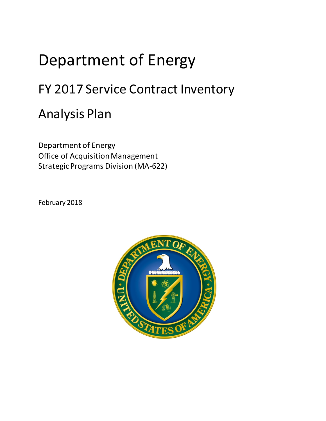## Department of Energy

## FY 2017 Service Contract Inventory

## Analysis Plan

Department of Energy Office of Acquisition Management Strategic Programs Division (MA-622)

February 2018